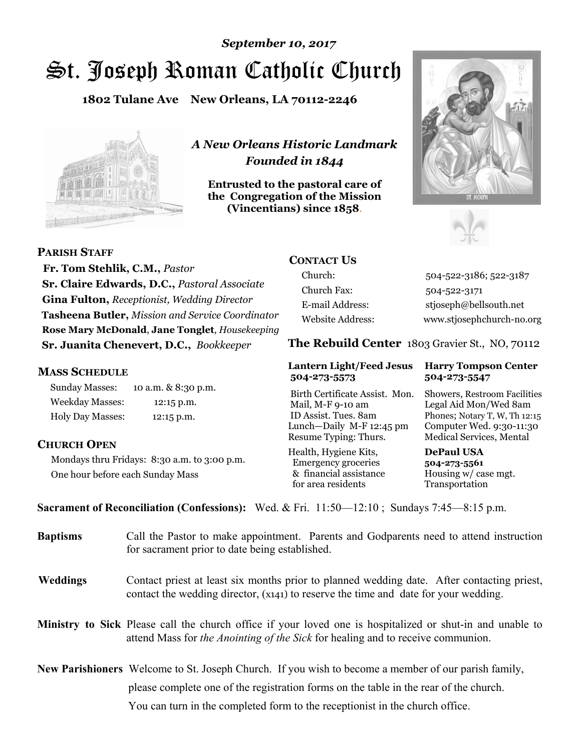# St. Joseph Roman Catholic Church *September 10, 2017*

**1802 Tulane Ave New Orleans, LA 70112-2246**



*A New Orleans Historic Landmark Founded in 1844* 

**Entrusted to the pastoral care of the Congregation of the Mission (Vincentians) since 1858**.





**PARISH STAFF**

 **Fr. Tom Stehlik, C.M.,** *Pastor* **Sr. Claire Edwards, D.C.,** *Pastoral Associate* **Gina Fulton,** *Receptionist, Wedding Director* **Tasheena Butler,** *Mission and Service Coordinator* **Rose Mary McDonald**, **Jane Tonglet**, *Housekeeping* **Sr. Juanita Chenevert, D.C.,** *Bookkeeper* 

## **MASS SCHEDULE**

Sunday Masses: 10 a.m. & 8:30 p.m. Weekday Masses: 12:15 p.m. Holy Day Masses: 12:15 p.m.

# **CHURCH OPEN**

Mondays thru Fridays: 8:30 a.m. to 3:00 p.m. One hour before each Sunday Mass

# **CONTACT US**

Church: 504-522-3186; 522-3187 Church Fax: 504-522-3171 E-mail Address: stjoseph@bellsouth.net Website Address: www.stjosephchurch-no.org

**The Rebuild Center** 1803 Gravier St., NO, 70112

#### **Lantern Light/Feed Jesus Harry Tompson Center 504-273-5573 504-273-5547**

Birth Certificate Assist. Mon. Showers, Restroom Facilities Mail, M-F 9-10 am Legal Aid Mon/Wed 8am ID Assist. Tues. 8am Phones; Notary T, W, Th 12:15 Lunch—Daily M-F 12:45 pm Computer Wed. 9:30-11:30 Resume Typing: Thurs. Medical Services, Mental

Health, Hygiene Kits, **DePaul USA**  Emergency groceries **504-273-5561** & financial assistance Housing w/ case mgt. for area residents Transportation

**Sacrament of Reconciliation (Confessions):** Wed. & Fri. 11:50—12:10 ; Sundays 7:45—8:15 p.m.

| <b>Baptisms</b> | Call the Pastor to make appointment. Parents and Godparents need to attend instruction<br>for sacrament prior to date being established.                                                                   |  |
|-----------------|------------------------------------------------------------------------------------------------------------------------------------------------------------------------------------------------------------|--|
| <b>Weddings</b> | Contact priest at least six months prior to planned wedding date. After contacting priest,<br>contact the wedding director, (x141) to reserve the time and date for your wedding.                          |  |
|                 | <b>Ministry to Sick</b> Please call the church office if your loved one is hospitalized or shut-in and unable to<br>attend Mass for <i>the Anointing of the Sick</i> for healing and to receive communion. |  |
|                 | <b>New Parishioners</b> Welcome to St. Joseph Church. If you wish to become a member of our parish family,                                                                                                 |  |
|                 | please complete one of the registration forms on the table in the rear of the church.                                                                                                                      |  |
|                 | You can turn in the completed form to the receptionist in the church office.                                                                                                                               |  |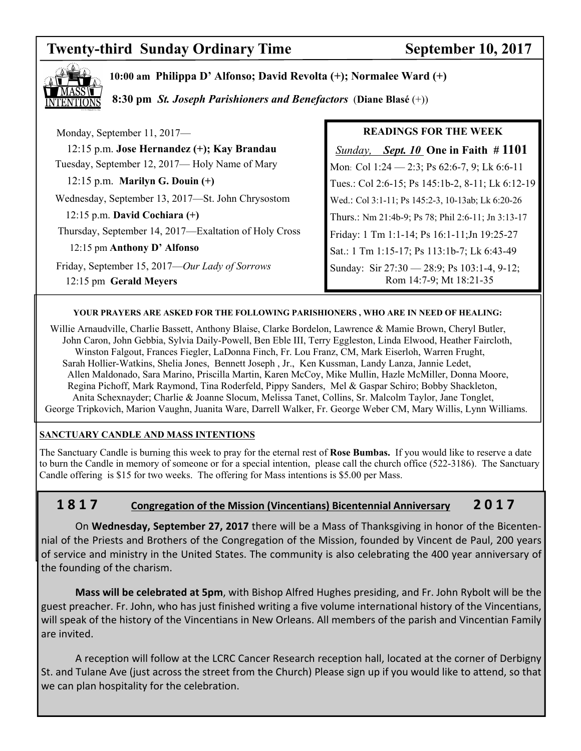# **Twenty-third Sunday Ordinary Time September 10, 2017**



**10:00 am Philippa D' Alfonso; David Revolta (+); Normalee Ward (+)** 

 **8:30 pm** *St. Joseph Parishioners and Benefactors* (**Diane Blasé** (+))

| Monday, September 11, 2017-                                              | <b>READINGS FOR THE WEEK</b>                                           |
|--------------------------------------------------------------------------|------------------------------------------------------------------------|
| 12:15 p.m. Jose Hernandez (+); Kay Brandau                               | <i>Sept. 10</i> One in Faith $\# 1101$<br>Sunday,                      |
| Tuesday, September 12, 2017— Holy Name of Mary                           | Mon: Col 1:24 - 2:3; Ps 62:6-7, 9; Lk 6:6-11                           |
| $12:15$ p.m. Marilyn G. Douin $(+)$                                      | Tues.: Col 2:6-15; Ps 145:1b-2, 8-11; Lk 6:12-19                       |
| Wednesday, September 13, 2017—St. John Chrysostom                        | Wed.: Col 3:1-11; Ps 145:2-3, 10-13ab; Lk 6:20-26                      |
| $12:15$ p.m. David Cochiara $(+)$                                        | Thurs.: Nm 21:4b-9; Ps 78; Phil 2:6-11; Jn 3:13-17                     |
| Thursday, September 14, 2017—Exaltation of Holy Cross                    | Friday: 1 Tm 1:1-14; Ps 16:1-11; Jn 19:25-27                           |
| 12:15 pm Anthony D' Alfonso                                              | Sat.: 1 Tm 1:15-17; Ps 113:1b-7; Lk 6:43-49                            |
| Friday, September 15, 2017-Our Lady of Sorrows<br>12:15 pm Gerald Meyers | Sunday: Sir 27:30 - 28:9; Ps 103:1-4, 9-12;<br>Rom 14:7-9; Mt 18:21-35 |

#### **YOUR PRAYERS ARE ASKED FOR THE FOLLOWING PARISHIONERS , WHO ARE IN NEED OF HEALING:**

 Willie Arnaudville, Charlie Bassett, Anthony Blaise, Clarke Bordelon, Lawrence & Mamie Brown, Cheryl Butler, John Caron, John Gebbia, Sylvia Daily-Powell, Ben Eble III, Terry Eggleston, Linda Elwood, Heather Faircloth, Winston Falgout, Frances Fiegler, LaDonna Finch, Fr. Lou Franz, CM, Mark Eiserloh, Warren Frught, Sarah Hollier-Watkins, Shelia Jones, Bennett Joseph , Jr., Ken Kussman, Landy Lanza, Jannie Ledet, Allen Maldonado, Sara Marino, Priscilla Martin, Karen McCoy, Mike Mullin, Hazle McMiller, Donna Moore, Regina Pichoff, Mark Raymond, Tina Roderfeld, Pippy Sanders, Mel & Gaspar Schiro; Bobby Shackleton, Anita Schexnayder; Charlie & Joanne Slocum, Melissa Tanet, Collins, Sr. Malcolm Taylor, Jane Tonglet, George Tripkovich, Marion Vaughn, Juanita Ware, Darrell Walker, Fr. George Weber CM, Mary Willis, Lynn Williams.

### **SANCTUARY CANDLE AND MASS INTENTIONS**

The Sanctuary Candle is burning this week to pray for the eternal rest of **Rose Bumbas.** If you would like to reserve a date to burn the Candle in memory of someone or for a special intention, please call the church office (522-3186). The Sanctuary Candle offering is \$15 for two weeks. The offering for Mass intentions is \$5.00 per Mass.

# **1 8 1 7 Congregation of the Mission (Vincentians) Bicentennial Anniversary 2 0 1 7**

 On **Wednesday, September 27, 2017** there will be a Mass of Thanksgiving in honor of the Bicentennial of the Priests and Brothers of the Congregation of the Mission, founded by Vincent de Paul, 200 years of service and ministry in the United States. The community is also celebrating the 400 year anniversary of the founding of the charism.

**Mass will be celebrated at 5pm**, with Bishop Alfred Hughes presiding, and Fr. John Rybolt will be the guest preacher. Fr. John, who has just finished writing a five volume international history of the Vincentians, will speak of the history of the Vincentians in New Orleans. All members of the parish and Vincentian Family are invited.

 A reception will follow at the LCRC Cancer Research reception hall, located at the corner of Derbigny St. and Tulane Ave (just across the street from the Church) Please sign up if you would like to attend, so that we can plan hospitality for the celebration.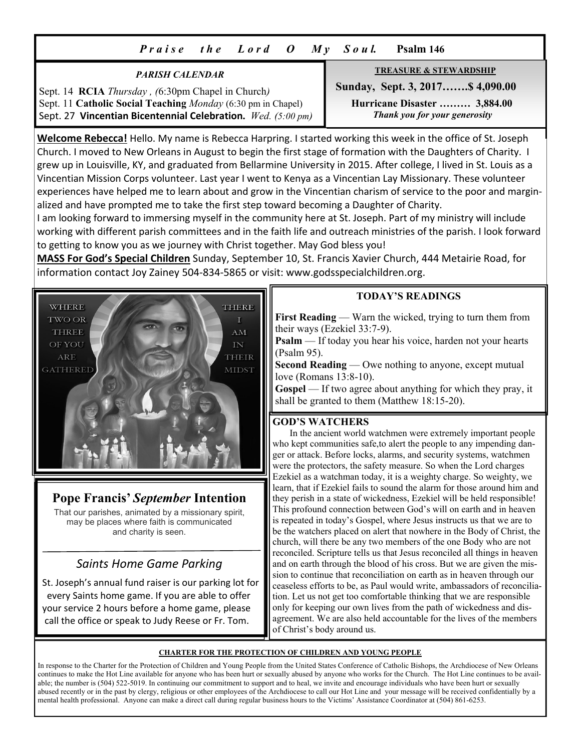# *P r a i s e t h e L o r d O M y S o u l.* **Psalm 146**

### *PARISH CALENDAR*

Sept. 14 **RCIA** *Thursday , (*6:30pm Chapel in Church*)*  Sept. 11 **Catholic Social Teaching** *Monday* (6:30 pm in Chapel) Sept. 27 **Vincentian Bicentennial Celebration.** *Wed. (5:00 pm)*

#### **TREASURE & STEWARDSHIP**

 **Sunday, Sept. 3, 2017…….\$ 4,090.00** 

 **Hurricane Disaster ……… 3,884.00**   *Thank you for your generosity* 

**Welcome Rebecca!** Hello. My name is Rebecca Harpring. I started working this week in the office of St. Joseph Church. I moved to New Orleans in August to begin the first stage of formation with the Daughters of Charity. I grew up in Louisville, KY, and graduated from Bellarmine University in 2015. After college, I lived in St. Louis as a Vincentian Mission Corps volunteer. Last year I went to Kenya as a Vincentian Lay Missionary. These volunteer experiences have helped me to learn about and grow in the Vincentian charism of service to the poor and marginalized and have prompted me to take the first step toward becoming a Daughter of Charity.

I am looking forward to immersing myself in the community here at St. Joseph. Part of my ministry will include working with different parish committees and in the faith life and outreach ministries of the parish. I look forward to getting to know you as we journey with Christ together. May God bless you!

**MASS For God's Special Children** Sunday, September 10, St. Francis Xavier Church, 444 Metairie Road, for information contact Joy Zainey 504-834-5865 or visit: www.godsspecialchildren.org.



# **Pope Francis'** *September* **Intention**

That our parishes, animated by a missionary spirit, may be places where faith is communicated and charity is seen.

# *Saints Home Game Parking*

 St. Joseph's annual fund raiser is our parking lot for every Saints home game. If you are able to offer your service 2 hours before a home game, please call the office or speak to Judy Reese or Fr. Tom.

# **TODAY'S READINGS**

**First Reading** — Warn the wicked, trying to turn them from their ways (Ezekiel 33:7-9).

**Psalm** — If today you hear his voice, harden not your hearts (Psalm 95).

**Second Reading** — Owe nothing to anyone, except mutual love (Romans 13:8-10).

**Gospel** — If two agree about anything for which they pray, it shall be granted to them (Matthew 18:15-20).

# **GOD'S WATCHERS**

 In the ancient world watchmen were extremely important people who kept communities safe,to alert the people to any impending danger or attack. Before locks, alarms, and security systems, watchmen were the protectors, the safety measure. So when the Lord charges Ezekiel as a watchman today, it is a weighty charge. So weighty, we learn, that if Ezekiel fails to sound the alarm for those around him and they perish in a state of wickedness, Ezekiel will be held responsible! This profound connection between God's will on earth and in heaven is repeated in today's Gospel, where Jesus instructs us that we are to be the watchers placed on alert that nowhere in the Body of Christ, the church, will there be any two members of the one Body who are not reconciled. Scripture tells us that Jesus reconciled all things in heaven and on earth through the blood of his cross. But we are given the mission to continue that reconciliation on earth as in heaven through our ceaseless efforts to be, as Paul would write, ambassadors of reconciliation. Let us not get too comfortable thinking that we are responsible only for keeping our own lives from the path of wickedness and disagreement. We are also held accountable for the lives of the members of Christ's body around us.

#### **CHARTER FOR THE PROTECTION OF CHILDREN AND YOUNG PEOPLE**

In response to the Charter for the Protection of Children and Young People from the United States Conference of Catholic Bishops, the Archdiocese of New Orleans continues to make the Hot Line available for anyone who has been hurt or sexually abused by anyone who works for the Church. The Hot Line continues to be available; the number is (504) 522-5019. In continuing our commitment to support and to heal, we invite and encourage individuals who have been hurt or sexually abused recently or in the past by clergy, religious or other employees of the Archdiocese to call our Hot Line and your message will be received confidentially by a mental health professional. Anyone can make a direct call during regular business hours to the Victims' Assistance Coordinator at (504) 861-6253.